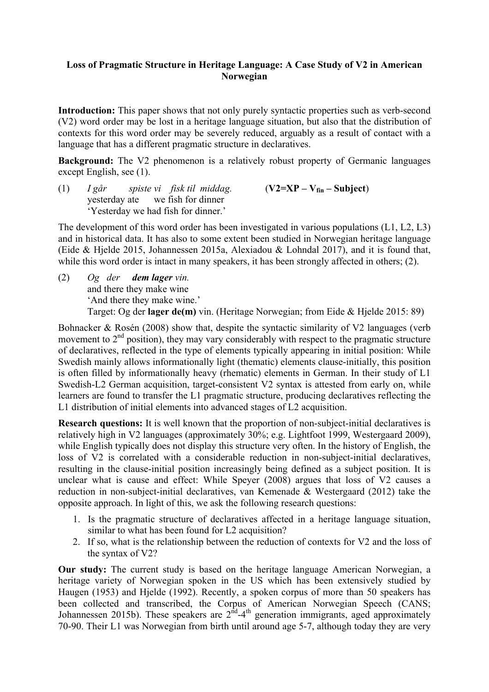## **Loss of Pragmatic Structure in Heritage Language: A Case Study of V2 in American Norwegian**

**Introduction:** This paper shows that not only purely syntactic properties such as verb-second (V2) word order may be lost in a heritage language situation, but also that the distribution of contexts for this word order may be severely reduced, arguably as a result of contact with a language that has a different pragmatic structure in declaratives.

**Background:** The V2 phenomenon is a relatively robust property of Germanic languages except English, see (1).

(1) *I går spiste vi fisk til middag.* (**V2=XP – Vfin – Subject**) yesterday ate we fish for dinner 'Yesterday we had fish for dinner.'

The development of this word order has been investigated in various populations (L1, L2, L3) and in historical data. It has also to some extent been studied in Norwegian heritage language (Eide & Hjelde 2015, Johannessen 2015a, Alexiadou & Lohndal 2017), and it is found that, while this word order is intact in many speakers, it has been strongly affected in others; (2).

(2) *Og der dem lager vin.* and there they make wine 'And there they make wine.' Target: Og der **lager de(m)** vin. (Heritage Norwegian; from Eide & Hjelde 2015: 89)

Bohnacker & Rosén (2008) show that, despite the syntactic similarity of V2 languages (verb movement to 2<sup>nd</sup> position), they may vary considerably with respect to the pragmatic structure of declaratives, reflected in the type of elements typically appearing in initial position: While Swedish mainly allows informationally light (thematic) elements clause-initially, this position is often filled by informationally heavy (rhematic) elements in German. In their study of L1 Swedish-L2 German acquisition, target-consistent V2 syntax is attested from early on, while learners are found to transfer the L1 pragmatic structure, producing declaratives reflecting the L1 distribution of initial elements into advanced stages of L2 acquisition.

**Research questions:** It is well known that the proportion of non-subject-initial declaratives is relatively high in V2 languages (approximately 30%; e.g. Lightfoot 1999, Westergaard 2009), while English typically does not display this structure very often. In the history of English, the loss of V2 is correlated with a considerable reduction in non-subject-initial declaratives, resulting in the clause-initial position increasingly being defined as a subject position. It is unclear what is cause and effect: While Speyer (2008) argues that loss of V2 causes a reduction in non-subject-initial declaratives, van Kemenade & Westergaard (2012) take the opposite approach. In light of this, we ask the following research questions:

- 1. Is the pragmatic structure of declaratives affected in a heritage language situation, similar to what has been found for L2 acquisition?
- 2. If so, what is the relationship between the reduction of contexts for V2 and the loss of the syntax of V2?

**Our study:** The current study is based on the heritage language American Norwegian, a heritage variety of Norwegian spoken in the US which has been extensively studied by Haugen (1953) and Hjelde (1992). Recently, a spoken corpus of more than 50 speakers has been collected and transcribed, the Corpus of American Norwegian Speech (CANS; Johannessen 2015b). These speakers are  $2<sup>nd</sup> - 4<sup>th</sup>$  generation immigrants, aged approximately 70-90. Their L1 was Norwegian from birth until around age 5-7, although today they are very